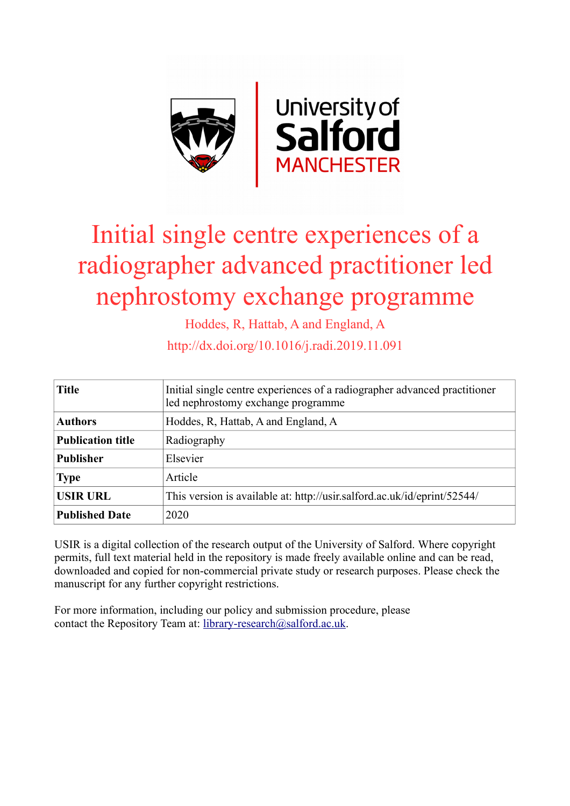

# Initial single centre experiences of a radiographer advanced practitioner led nephrostomy exchange programme

Hoddes, R, Hattab, A and England, A

http://dx.doi.org/10.1016/j.radi.2019.11.091

| <b>Title</b>             | Initial single centre experiences of a radiographer advanced practitioner<br>led nephrostomy exchange programme |  |  |
|--------------------------|-----------------------------------------------------------------------------------------------------------------|--|--|
| <b>Authors</b>           | Hoddes, R, Hattab, A and England, A                                                                             |  |  |
| <b>Publication title</b> | Radiography                                                                                                     |  |  |
| <b>Publisher</b>         | Elsevier                                                                                                        |  |  |
| <b>Type</b>              | Article                                                                                                         |  |  |
| <b>USIR URL</b>          | This version is available at: http://usir.salford.ac.uk/id/eprint/52544/                                        |  |  |
| <b>Published Date</b>    | 2020                                                                                                            |  |  |

USIR is a digital collection of the research output of the University of Salford. Where copyright permits, full text material held in the repository is made freely available online and can be read, downloaded and copied for non-commercial private study or research purposes. Please check the manuscript for any further copyright restrictions.

For more information, including our policy and submission procedure, please contact the Repository Team at: [library-research@salford.ac.uk.](mailto:library-research@salford.ac.uk)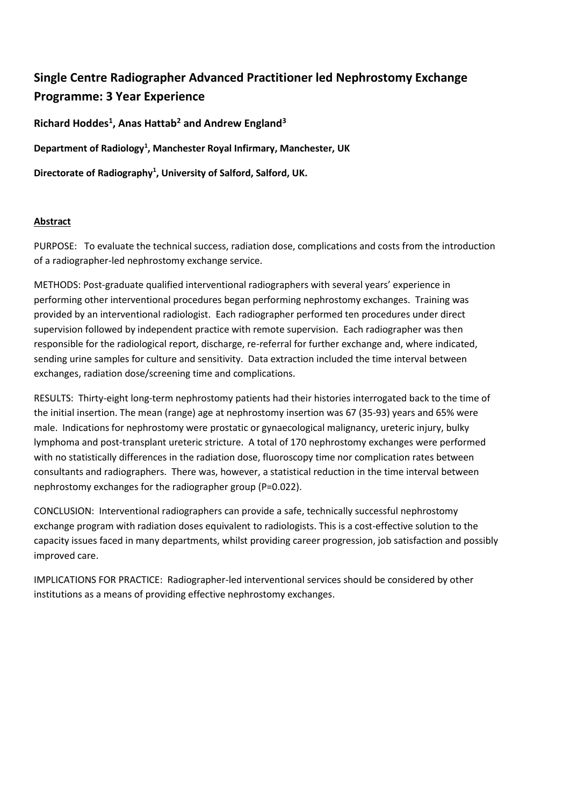# **Single Centre Radiographer Advanced Practitioner led Nephrostomy Exchange Programme: 3 Year Experience**

**Richard Hoddes<sup>1</sup> , Anas Hattab<sup>2</sup> and Andrew England<sup>3</sup>**

**Department of Radiology<sup>1</sup> , Manchester Royal Infirmary, Manchester, UK**

**Directorate of Radiography<sup>1</sup> , University of Salford, Salford, UK.** 

### **Abstract**

PURPOSE: To evaluate the technical success, radiation dose, complications and costs from the introduction of a radiographer-led nephrostomy exchange service.

METHODS: Post-graduate qualified interventional radiographers with several years' experience in performing other interventional procedures began performing nephrostomy exchanges. Training was provided by an interventional radiologist. Each radiographer performed ten procedures under direct supervision followed by independent practice with remote supervision. Each radiographer was then responsible for the radiological report, discharge, re-referral for further exchange and, where indicated, sending urine samples for culture and sensitivity. Data extraction included the time interval between exchanges, radiation dose/screening time and complications.

RESULTS: Thirty-eight long-term nephrostomy patients had their histories interrogated back to the time of the initial insertion. The mean (range) age at nephrostomy insertion was 67 (35-93) years and 65% were male. Indications for nephrostomy were prostatic or gynaecological malignancy, ureteric injury, bulky lymphoma and post-transplant ureteric stricture. A total of 170 nephrostomy exchanges were performed with no statistically differences in the radiation dose, fluoroscopy time nor complication rates between consultants and radiographers. There was, however, a statistical reduction in the time interval between nephrostomy exchanges for the radiographer group (P=0.022).

CONCLUSION: Interventional radiographers can provide a safe, technically successful nephrostomy exchange program with radiation doses equivalent to radiologists. This is a cost-effective solution to the capacity issues faced in many departments, whilst providing career progression, job satisfaction and possibly improved care.

IMPLICATIONS FOR PRACTICE: Radiographer-led interventional services should be considered by other institutions as a means of providing effective nephrostomy exchanges.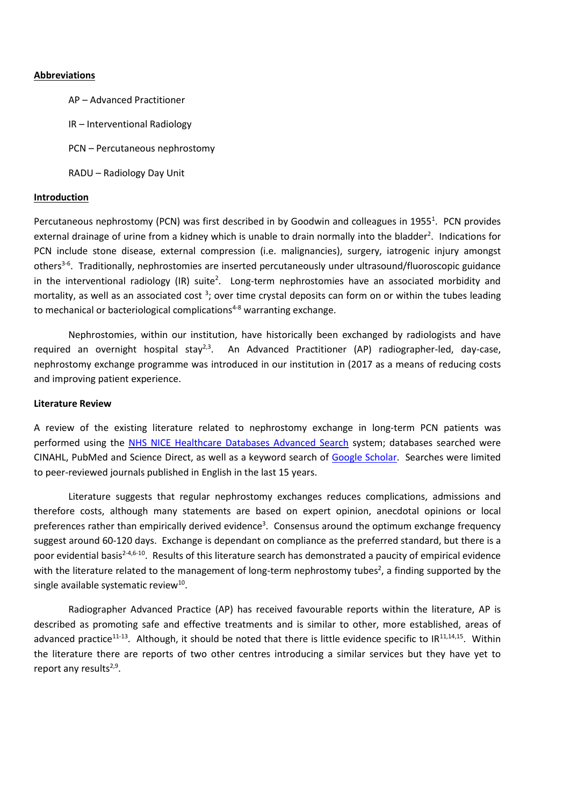#### **Abbreviations**

AP – Advanced Practitioner

IR – Interventional Radiology

PCN – Percutaneous nephrostomy

RADU – Radiology Day Unit

#### **Introduction**

Percutaneous nephrostomy (PCN) was first described in by Goodwin and colleagues in 1955<sup>1</sup>. PCN provides external drainage of urine from a kidney which is unable to drain normally into the bladder<sup>2</sup>. Indications for PCN include stone disease, external compression (i.e. malignancies), surgery, iatrogenic injury amongst others<sup>3-6</sup>. Traditionally, nephrostomies are inserted percutaneously under ultrasound/fluoroscopic guidance in the interventional radiology (IR) suite<sup>2</sup>. Long-term nephrostomies have an associated morbidity and mortality, as well as an associated cost <sup>3</sup>; over time crystal deposits can form on or within the tubes leading to mechanical or bacteriological complications<sup>4-8</sup> warranting exchange.

Nephrostomies, within our institution, have historically been exchanged by radiologists and have required an overnight hospital stay<sup>2,3</sup>. An Advanced Practitioner (AP) radiographer-led, day-case, nephrostomy exchange programme was introduced in our institution in (2017 as a means of reducing costs and improving patient experience.

#### **Literature Review**

A review of the existing literature related to nephrostomy exchange in long-term PCN patients was performed using the [NHS NICE Healthcare Databases Advanced Search](https://www.nice.org.uk/about/what-we-do/evidence-services/journals-and-databases) system; databases searched were CINAHL, PubMed and Science Direct, as well as a keyword search of [Google Scholar.](https://scholar.google.co.uk/) Searches were limited to peer-reviewed journals published in English in the last 15 years.

Literature suggests that regular nephrostomy exchanges reduces complications, admissions and therefore costs, although many statements are based on expert opinion, anecdotal opinions or local preferences rather than empirically derived evidence<sup>3</sup>. Consensus around the optimum exchange frequency suggest around 60-120 days. Exchange is dependant on compliance as the preferred standard, but there is a poor evidential basis<sup>2-4,6-10</sup>. Results of this literature search has demonstrated a paucity of empirical evidence with the literature related to the management of long-term nephrostomy tubes<sup>2</sup>, a finding supported by the single available systematic review<sup>10</sup>.

Radiographer Advanced Practice (AP) has received favourable reports within the literature, AP is described as promoting safe and effective treatments and is similar to other, more established, areas of advanced practice<sup>11-13</sup>. Although, it should be noted that there is little evidence specific to IR<sup>11,14,15</sup>. Within the literature there are reports of two other centres introducing a similar services but they have yet to report any results<sup>2,9</sup>.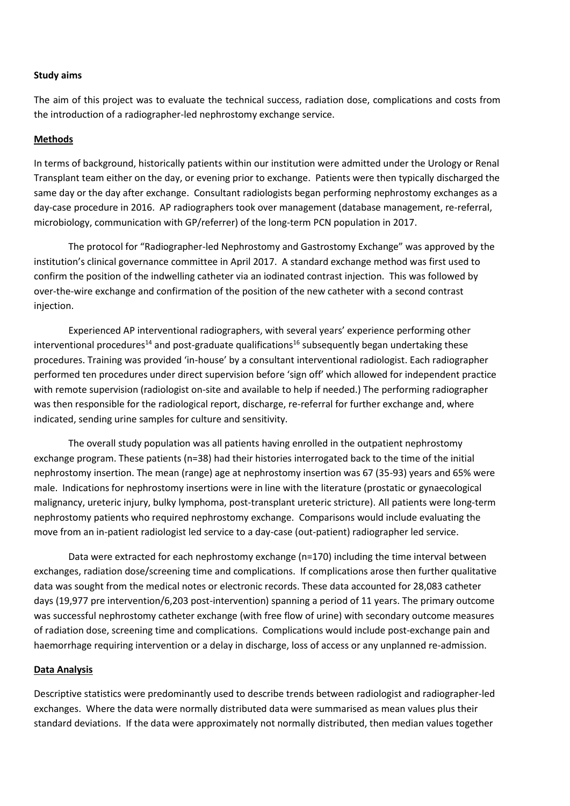#### **Study aims**

The aim of this project was to evaluate the technical success, radiation dose, complications and costs from the introduction of a radiographer-led nephrostomy exchange service.

#### **Methods**

In terms of background, historically patients within our institution were admitted under the Urology or Renal Transplant team either on the day, or evening prior to exchange. Patients were then typically discharged the same day or the day after exchange. Consultant radiologists began performing nephrostomy exchanges as a day-case procedure in 2016. AP radiographers took over management (database management, re-referral, microbiology, communication with GP/referrer) of the long-term PCN population in 2017.

The protocol for "Radiographer-led Nephrostomy and Gastrostomy Exchange" was approved by the institution's clinical governance committee in April 2017. A standard exchange method was first used to confirm the position of the indwelling catheter via an iodinated contrast injection. This was followed by over-the-wire exchange and confirmation of the position of the new catheter with a second contrast injection.

Experienced AP interventional radiographers, with several years' experience performing other interventional procedures<sup>14</sup> and post-graduate qualifications<sup>16</sup> subsequently began undertaking these procedures. Training was provided 'in-house' by a consultant interventional radiologist. Each radiographer performed ten procedures under direct supervision before 'sign off' which allowed for independent practice with remote supervision (radiologist on-site and available to help if needed.) The performing radiographer was then responsible for the radiological report, discharge, re-referral for further exchange and, where indicated, sending urine samples for culture and sensitivity.

The overall study population was all patients having enrolled in the outpatient nephrostomy exchange program. These patients (n=38) had their histories interrogated back to the time of the initial nephrostomy insertion. The mean (range) age at nephrostomy insertion was 67 (35-93) years and 65% were male. Indications for nephrostomy insertions were in line with the literature (prostatic or gynaecological malignancy, ureteric injury, bulky lymphoma, post-transplant ureteric stricture). All patients were long-term nephrostomy patients who required nephrostomy exchange. Comparisons would include evaluating the move from an in-patient radiologist led service to a day-case (out-patient) radiographer led service.

Data were extracted for each nephrostomy exchange (n=170) including the time interval between exchanges, radiation dose/screening time and complications. If complications arose then further qualitative data was sought from the medical notes or electronic records. These data accounted for 28,083 catheter days (19,977 pre intervention/6,203 post-intervention) spanning a period of 11 years. The primary outcome was successful nephrostomy catheter exchange (with free flow of urine) with secondary outcome measures of radiation dose, screening time and complications. Complications would include post-exchange pain and haemorrhage requiring intervention or a delay in discharge, loss of access or any unplanned re-admission.

#### **Data Analysis**

Descriptive statistics were predominantly used to describe trends between radiologist and radiographer-led exchanges. Where the data were normally distributed data were summarised as mean values plus their standard deviations. If the data were approximately not normally distributed, then median values together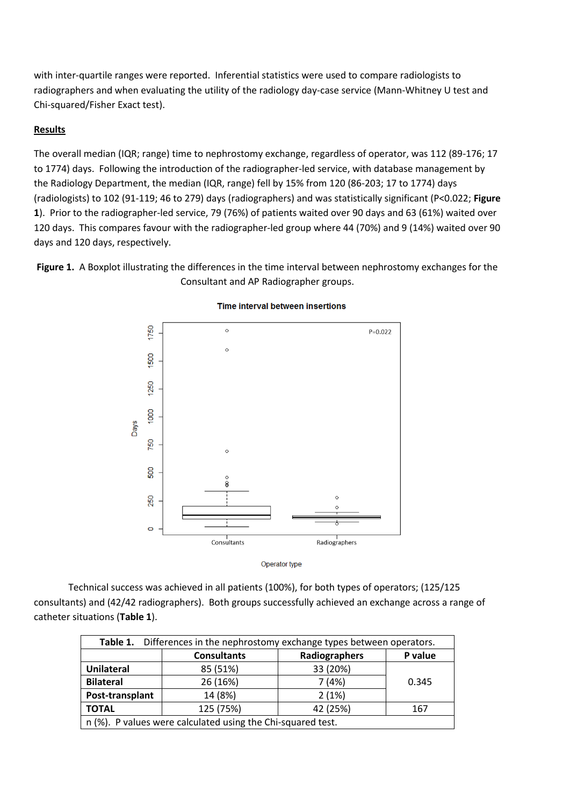with inter-quartile ranges were reported. Inferential statistics were used to compare radiologists to radiographers and when evaluating the utility of the radiology day-case service (Mann-Whitney U test and Chi-squared/Fisher Exact test).

# **Results**

The overall median (IQR; range) time to nephrostomy exchange, regardless of operator, was 112 (89-176; 17 to 1774) days. Following the introduction of the radiographer-led service, with database management by the Radiology Department, the median (IQR, range) fell by 15% from 120 (86-203; 17 to 1774) days (radiologists) to 102 (91-119; 46 to 279) days (radiographers) and was statistically significant (P<0.022; **Figure 1**). Prior to the radiographer-led service, 79 (76%) of patients waited over 90 days and 63 (61%) waited over 120 days. This compares favour with the radiographer-led group where 44 (70%) and 9 (14%) waited over 90 days and 120 days, respectively.

Figure 1. A Boxplot illustrating the differences in the time interval between nephrostomy exchanges for the Consultant and AP Radiographer groups.



#### **Time interval between insertions**

Operator type

Technical success was achieved in all patients (100%), for both types of operators; (125/125 consultants) and (42/42 radiographers). Both groups successfully achieved an exchange across a range of catheter situations (**Table 1**).

| Table 1. Differences in the nephrostomy exchange types between operators. |                    |               |         |  |
|---------------------------------------------------------------------------|--------------------|---------------|---------|--|
|                                                                           | <b>Consultants</b> | Radiographers | P value |  |
| <b>Unilateral</b>                                                         | 85 (51%)           | 33 (20%)      |         |  |
| <b>Bilateral</b>                                                          | 26 (16%)           | 7(4%)         | 0.345   |  |
| Post-transplant                                                           | 14 (8%)            | 2(1%)         |         |  |
| <b>TOTAL</b>                                                              | 125 (75%)          | 42 (25%)      | 167     |  |
| n (%). P values were calculated using the Chi-squared test.               |                    |               |         |  |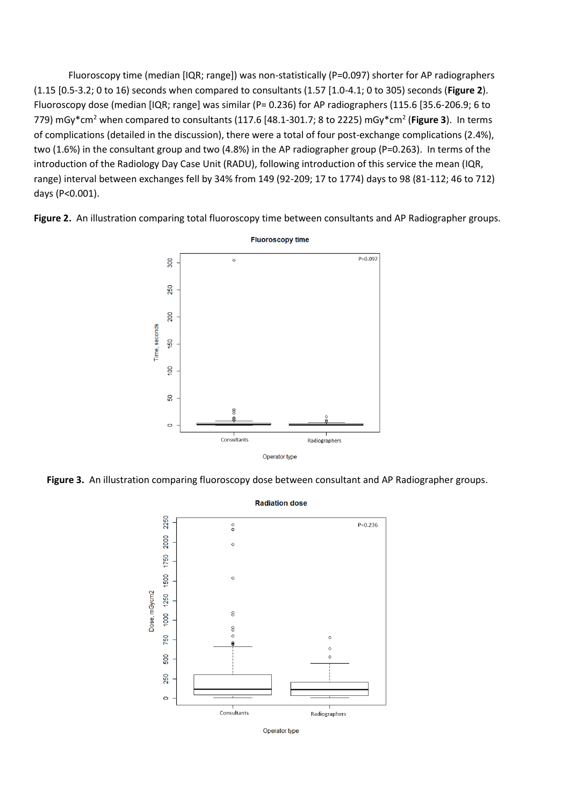Fluoroscopy time (median [IQR; range]) was non-statistically (P=0.097) shorter for AP radiographers (1.15 [0.5-3.2; 0 to 16) seconds when compared to consultants (1.57 [1.0-4.1; 0 to 305) seconds (**Figure 2**). Fluoroscopy dose (median [IQR; range] was similar (P= 0.236) for AP radiographers (115.6 [35.6-206.9; 6 to 779) mGy\*cm<sup>2</sup> when compared to consultants (117.6 [48.1-301.7; 8 to 2225) mGy\*cm<sup>2</sup> (Figure 3). In terms of complications (detailed in the discussion), there were a total of four post-exchange complications (2.4%), two (1.6%) in the consultant group and two (4.8%) in the AP radiographer group (P=0.263). In terms of the introduction of the Radiology Day Case Unit (RADU), following introduction of this service the mean (IQR, range) interval between exchanges fell by 34% from 149 (92-209; 17 to 1774) days to 98 (81-112; 46 to 712) days (P<0.001).

**Figure 2.** An illustration comparing total fluoroscopy time between consultants and AP Radiographer groups.



**Figure 3.** An illustration comparing fluoroscopy dose between consultant and AP Radiographer groups.



Operator type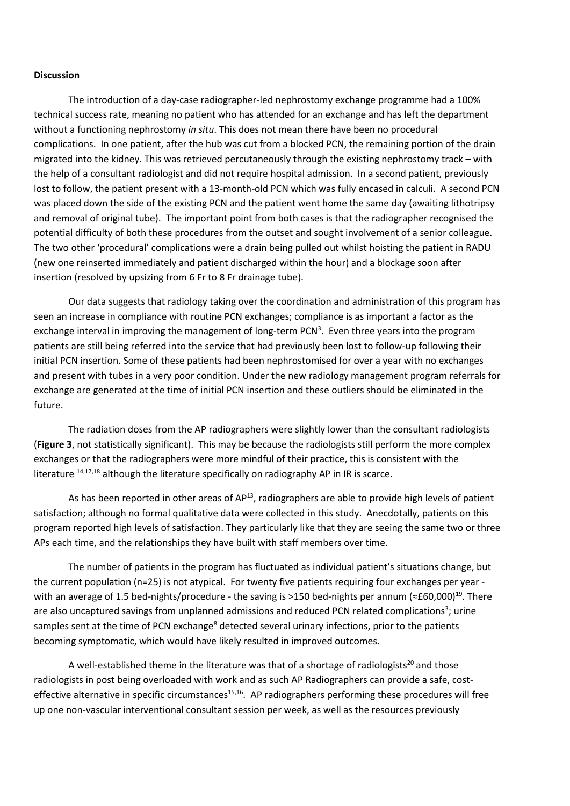#### **Discussion**

The introduction of a day-case radiographer-led nephrostomy exchange programme had a 100% technical success rate, meaning no patient who has attended for an exchange and has left the department without a functioning nephrostomy *in situ*. This does not mean there have been no procedural complications. In one patient, after the hub was cut from a blocked PCN, the remaining portion of the drain migrated into the kidney. This was retrieved percutaneously through the existing nephrostomy track – with the help of a consultant radiologist and did not require hospital admission. In a second patient, previously lost to follow, the patient present with a 13-month-old PCN which was fully encased in calculi. A second PCN was placed down the side of the existing PCN and the patient went home the same day (awaiting lithotripsy and removal of original tube). The important point from both cases is that the radiographer recognised the potential difficulty of both these procedures from the outset and sought involvement of a senior colleague. The two other 'procedural' complications were a drain being pulled out whilst hoisting the patient in RADU (new one reinserted immediately and patient discharged within the hour) and a blockage soon after insertion (resolved by upsizing from 6 Fr to 8 Fr drainage tube).

Our data suggests that radiology taking over the coordination and administration of this program has seen an increase in compliance with routine PCN exchanges; compliance is as important a factor as the exchange interval in improving the management of long-term PCN<sup>3</sup>. Even three years into the program patients are still being referred into the service that had previously been lost to follow-up following their initial PCN insertion. Some of these patients had been nephrostomised for over a year with no exchanges and present with tubes in a very poor condition. Under the new radiology management program referrals for exchange are generated at the time of initial PCN insertion and these outliers should be eliminated in the future.

The radiation doses from the AP radiographers were slightly lower than the consultant radiologists (**Figure 3**, not statistically significant). This may be because the radiologists still perform the more complex exchanges or that the radiographers were more mindful of their practice, this is consistent with the literature  $14,17,18$  although the literature specifically on radiography AP in IR is scarce.

As has been reported in other areas of AP<sup>13</sup>, radiographers are able to provide high levels of patient satisfaction; although no formal qualitative data were collected in this study. Anecdotally, patients on this program reported high levels of satisfaction. They particularly like that they are seeing the same two or three APs each time, and the relationships they have built with staff members over time.

The number of patients in the program has fluctuated as individual patient's situations change, but the current population (n=25) is not atypical. For twenty five patients requiring four exchanges per year with an average of 1.5 bed-nights/procedure - the saving is >150 bed-nights per annum (≈£60,000)<sup>19</sup>. There are also uncaptured savings from unplanned admissions and reduced PCN related complications<sup>3</sup>; urine samples sent at the time of PCN exchange<sup>8</sup> detected several urinary infections, prior to the patients becoming symptomatic, which would have likely resulted in improved outcomes.

A well-established theme in the literature was that of a shortage of radiologists<sup>20</sup> and those radiologists in post being overloaded with work and as such AP Radiographers can provide a safe, costeffective alternative in specific circumstances<sup>15,16</sup>. AP radiographers performing these procedures will free up one non-vascular interventional consultant session per week, as well as the resources previously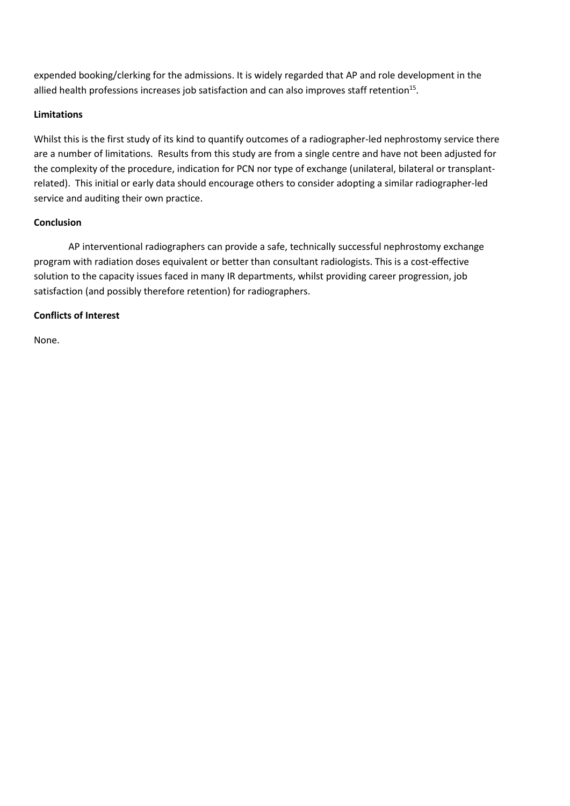expended booking/clerking for the admissions. It is widely regarded that AP and role development in the allied health professions increases job satisfaction and can also improves staff retention<sup>15</sup>.

# **Limitations**

Whilst this is the first study of its kind to quantify outcomes of a radiographer-led nephrostomy service there are a number of limitations. Results from this study are from a single centre and have not been adjusted for the complexity of the procedure, indication for PCN nor type of exchange (unilateral, bilateral or transplantrelated). This initial or early data should encourage others to consider adopting a similar radiographer-led service and auditing their own practice.

# **Conclusion**

AP interventional radiographers can provide a safe, technically successful nephrostomy exchange program with radiation doses equivalent or better than consultant radiologists. This is a cost-effective solution to the capacity issues faced in many IR departments, whilst providing career progression, job satisfaction (and possibly therefore retention) for radiographers.

# **Conflicts of Interest**

None.